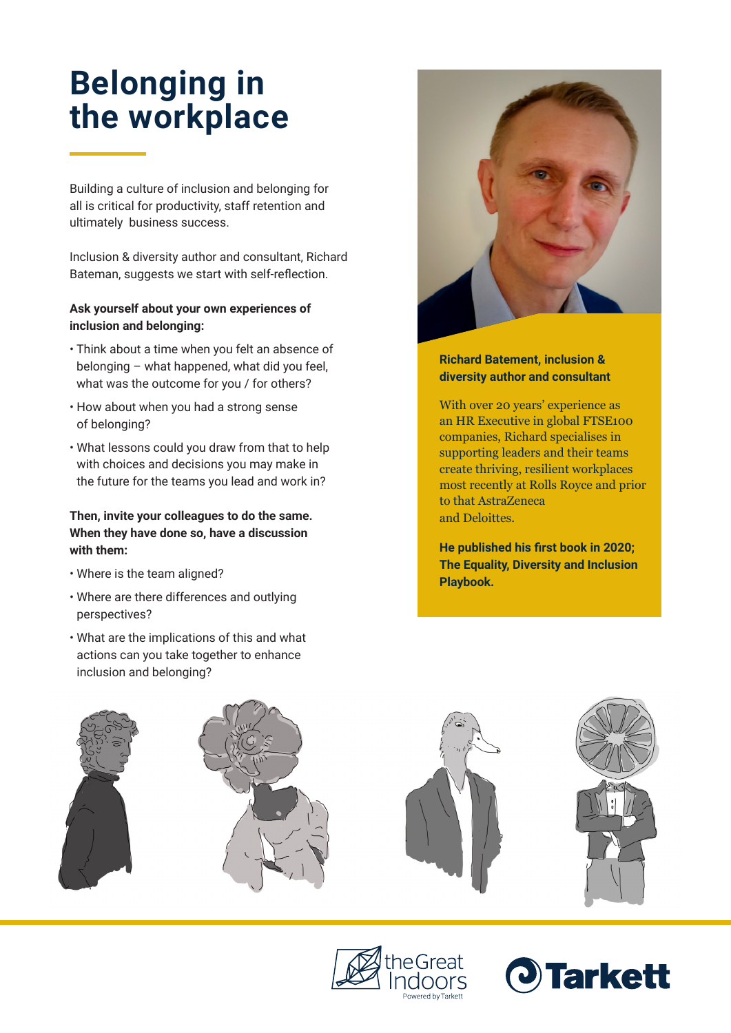# **Belonging in the workplace**

Building a culture of inclusion and belonging for all is critical for productivity, staff retention and ultimately business success.

Inclusion & diversity author and consultant, Richard Bateman, suggests we start with self-reflection.

# **Ask yourself about your own experiences of inclusion and belonging:**

- Think about a time when you felt an absence of belonging – what happened, what did you feel, what was the outcome for you / for others?
- How about when you had a strong sense of belonging?
- What lessons could you draw from that to help with choices and decisions you may make in the future for the teams you lead and work in?

## **Then, invite your colleagues to do the same. When they have done so, have a discussion with them:**

- Where is the team aligned?
- Where are there differences and outlying perspectives?
- What are the implications of this and what actions can you take together to enhance inclusion and belonging?



## **Richard Batement, inclusion & diversity author and consultant**

With over 20 years' experience as an HR Executive in global FTSE100 companies, Richard specialises in supporting leaders and their teams create thriving, resilient workplaces most recently at Rolls Royce and prior to that AstraZeneca and Deloittes.

**He published his first book in 2020; The Equality, Diversity and Inclusion Playbook.**





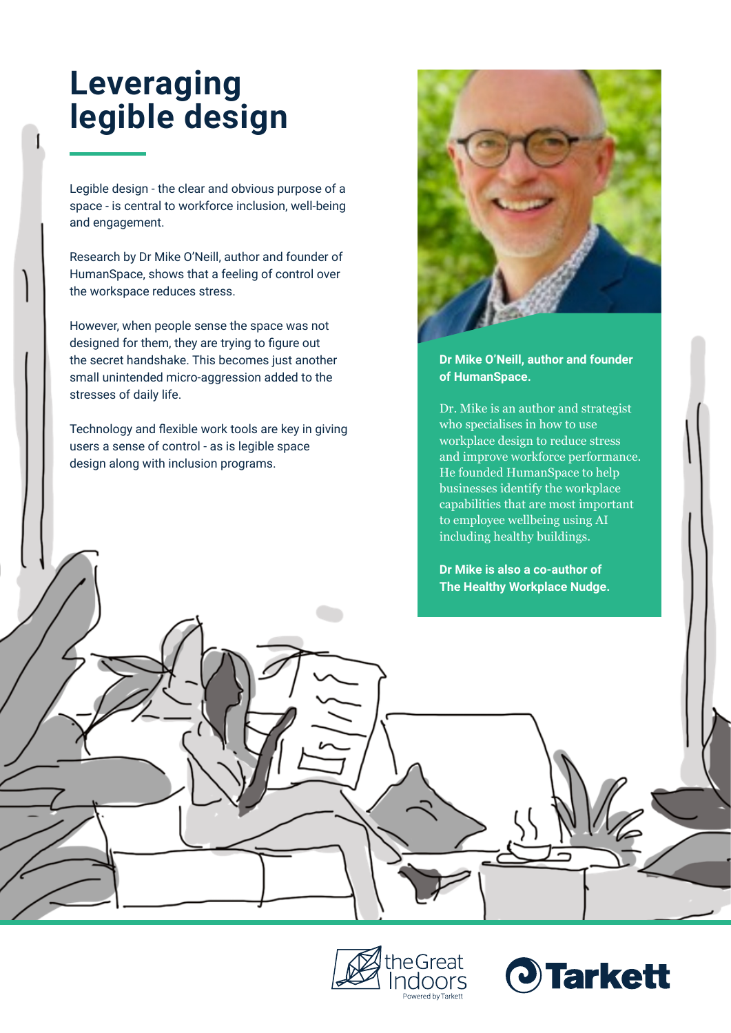# **Leveraging legible design**

Legible design - the clear and obvious purpose of a space - is central to workforce inclusion, well-being and engagement.

Research by Dr Mike O'Neill, author and founder of HumanSpace, shows that a feeling of control over the workspace reduces stress.

However, when people sense the space was not designed for them, they are trying to figure out the secret handshake. This becomes just another small unintended micro-aggression added to the stresses of daily life.

Technology and flexible work tools are key in giving users a sense of control - as is legible space design along with inclusion programs.



#### **Dr Mike O'Neill, author and founder of HumanSpace.**

Dr. Mike is an author and strategist who specialises in how to use workplace design to reduce stress and improve workforce performance. He founded HumanSpace to help businesses identify the workplace capabilities that are most important to employee wellbeing using AI including healthy buildings.

#### **Dr Mike is also a co-author of The Healthy Workplace Nudge.**